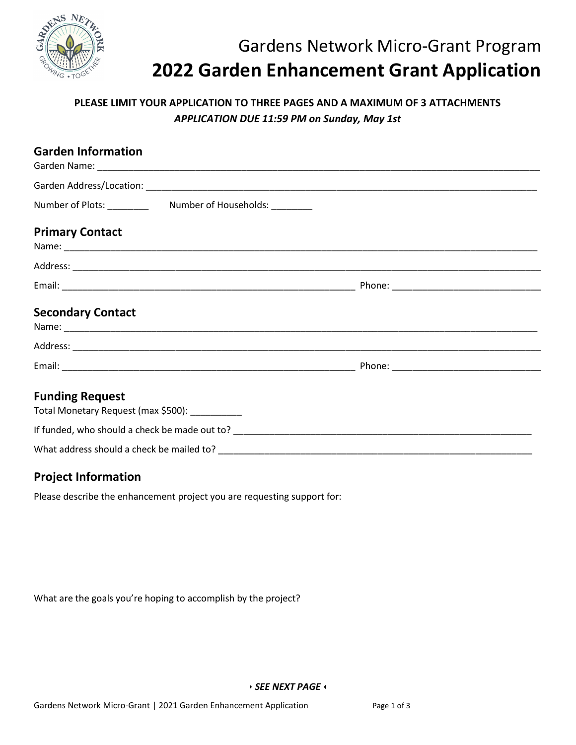

# Gardens Network Micro-Grant Program 2022 Garden Enhancement Grant Application

### PLEASE LIMIT YOUR APPLICATION TO THREE PAGES AND A MAXIMUM OF 3 ATTACHMENTS APPLICATION DUE 11:59 PM on Sunday, May 1st

| <b>Garden Information</b>                                                |  |  |
|--------------------------------------------------------------------------|--|--|
|                                                                          |  |  |
|                                                                          |  |  |
| <b>Primary Contact</b>                                                   |  |  |
|                                                                          |  |  |
|                                                                          |  |  |
| <b>Secondary Contact</b>                                                 |  |  |
|                                                                          |  |  |
|                                                                          |  |  |
| <b>Funding Request</b><br>Total Monetary Request (max \$500): __________ |  |  |
|                                                                          |  |  |
|                                                                          |  |  |

#### Project Information

Please describe the enhancement project you are requesting support for:

What are the goals you're hoping to accomplish by the project?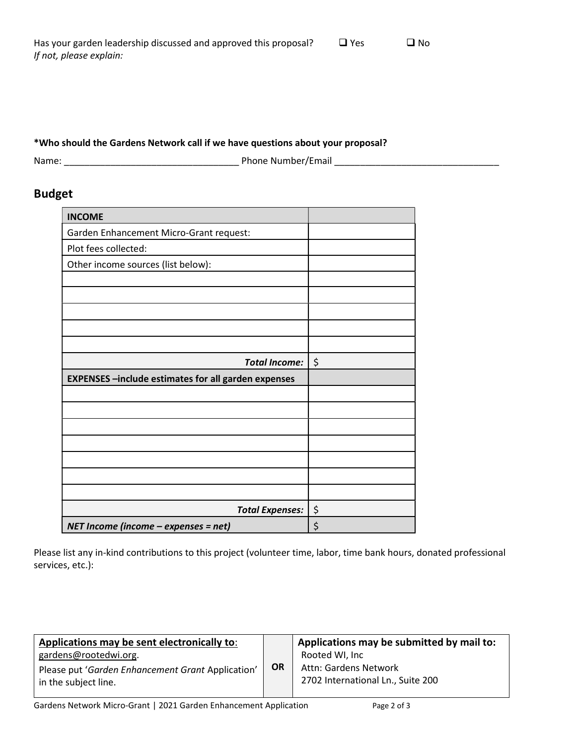| Has your garden leadership discussed and approved this proposal? | $\Box$ Yes | $\Box$ No |
|------------------------------------------------------------------|------------|-----------|
| If not, please explain:                                          |            |           |

#### \*Who should the Gardens Network call if we have questions about your proposal?

Name: \_\_\_\_\_\_\_\_\_\_\_\_\_\_\_\_\_\_\_\_\_\_\_\_\_\_\_\_\_\_\_\_\_\_ Phone Number/Email \_\_\_\_\_\_\_\_\_\_\_\_\_\_\_\_\_\_\_\_\_\_\_\_\_\_\_\_\_\_\_\_

## Budget

| <b>INCOME</b>                                              |    |
|------------------------------------------------------------|----|
| Garden Enhancement Micro-Grant request:                    |    |
| Plot fees collected:                                       |    |
| Other income sources (list below):                         |    |
|                                                            |    |
|                                                            |    |
|                                                            |    |
|                                                            |    |
|                                                            |    |
| <b>Total Income:</b>                                       | \$ |
| <b>EXPENSES</b> -include estimates for all garden expenses |    |
|                                                            |    |
|                                                            |    |
|                                                            |    |
|                                                            |    |
|                                                            |    |
|                                                            |    |
|                                                            |    |
| <b>Total Expenses:</b>                                     | \$ |
| NET Income (income - expenses = net)                       | \$ |

Please list any in-kind contributions to this project (volunteer time, labor, time bank hours, donated professional services, etc.):

| Applications may be sent electronically to:                               |           | Applications may be submitted by mail to:                  |
|---------------------------------------------------------------------------|-----------|------------------------------------------------------------|
| gardens@rootedwi.org.                                                     |           | Rooted WI, Inc                                             |
| Please put 'Garden Enhancement Grant Application'<br>in the subject line. | <b>OR</b> | Attn: Gardens Network<br>2702 International Ln., Suite 200 |
|                                                                           |           |                                                            |